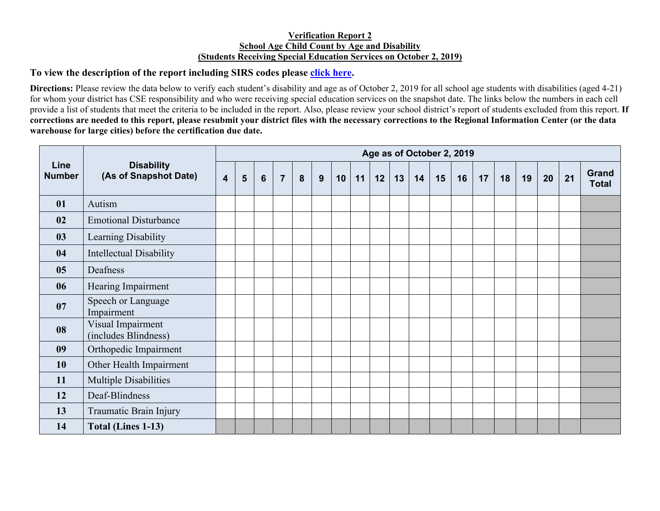## **Verification Report 2 School Age Child Count by Age and Disability (Students Receiving Special Education Services on October 2, 2019)**

## **To view the description of the report including SIRS codes please click here.**

**Directions:** Please review the data below to verify each student's disability and age as of October 2, 2019 for all school age students with disabilities (aged 4-21) for whom your district has CSE responsibility and who were receiving special education services on the snapshot date. The links below the numbers in each cell provide a list of students that meet the criteria to be included in the report. Also, please review your school district's report of students excluded from this report. **If corrections are needed to this report, please resubmit your district files with the necessary corrections to the Regional Information Center (or the data warehouse for large cities) before the certification due date.** 

| Line<br><b>Number</b> | <b>Disability</b><br>(As of Snapshot Date) | Age as of October 2, 2019 |   |   |                |   |   |    |    |    |    |    |    |    |    |    |    |    |    |                       |
|-----------------------|--------------------------------------------|---------------------------|---|---|----------------|---|---|----|----|----|----|----|----|----|----|----|----|----|----|-----------------------|
|                       |                                            | $\overline{\mathbf{4}}$   | 5 | 6 | $\overline{7}$ | 8 | 9 | 10 | 11 | 12 | 13 | 14 | 15 | 16 | 17 | 18 | 19 | 20 | 21 | Grand<br><b>Total</b> |
| 01                    | Autism                                     |                           |   |   |                |   |   |    |    |    |    |    |    |    |    |    |    |    |    |                       |
| 02                    | <b>Emotional Disturbance</b>               |                           |   |   |                |   |   |    |    |    |    |    |    |    |    |    |    |    |    |                       |
| 03                    | Learning Disability                        |                           |   |   |                |   |   |    |    |    |    |    |    |    |    |    |    |    |    |                       |
| 04                    | <b>Intellectual Disability</b>             |                           |   |   |                |   |   |    |    |    |    |    |    |    |    |    |    |    |    |                       |
| 05                    | Deafness                                   |                           |   |   |                |   |   |    |    |    |    |    |    |    |    |    |    |    |    |                       |
| 06                    | Hearing Impairment                         |                           |   |   |                |   |   |    |    |    |    |    |    |    |    |    |    |    |    |                       |
| 07                    | Speech or Language<br>Impairment           |                           |   |   |                |   |   |    |    |    |    |    |    |    |    |    |    |    |    |                       |
| 08                    | Visual Impairment<br>(includes Blindness)  |                           |   |   |                |   |   |    |    |    |    |    |    |    |    |    |    |    |    |                       |
| 09                    | Orthopedic Impairment                      |                           |   |   |                |   |   |    |    |    |    |    |    |    |    |    |    |    |    |                       |
| 10                    | Other Health Impairment                    |                           |   |   |                |   |   |    |    |    |    |    |    |    |    |    |    |    |    |                       |
| 11                    | Multiple Disabilities                      |                           |   |   |                |   |   |    |    |    |    |    |    |    |    |    |    |    |    |                       |
| 12                    | Deaf-Blindness                             |                           |   |   |                |   |   |    |    |    |    |    |    |    |    |    |    |    |    |                       |
| 13                    | Traumatic Brain Injury                     |                           |   |   |                |   |   |    |    |    |    |    |    |    |    |    |    |    |    |                       |
| 14                    | <b>Total (Lines 1-13)</b>                  |                           |   |   |                |   |   |    |    |    |    |    |    |    |    |    |    |    |    |                       |